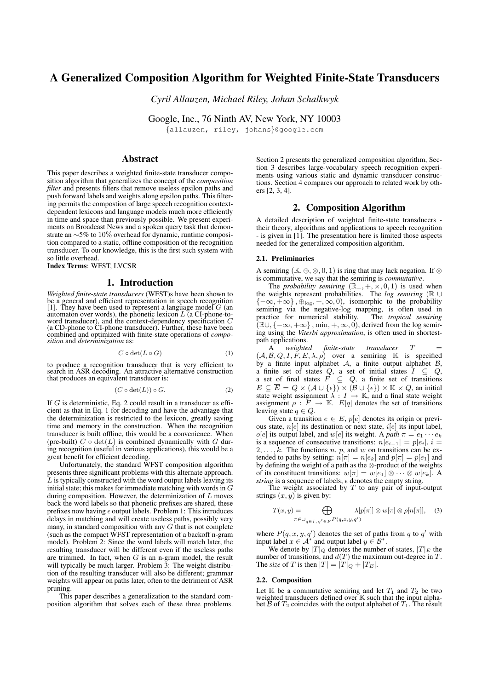# A Generalized Composition Algorithm for Weighted Finite-State Transducers

*Cyril Allauzen, Michael Riley, Johan Schalkwyk*

Google, Inc., 76 Ninth AV, New York, NY 10003

{allauzen, riley, johans}@google.com

# Abstract

This paper describes a weighted finite-state transducer composition algorithm that generalizes the concept of the *composition filter* and presents filters that remove useless epsilon paths and push forward labels and weights along epsilon paths. This filtering permits the compostion of large speech recognition contextdependent lexicons and language models much more efficiently in time and space than previously possible. We present experiments on Broadcast News and a spoken query task that demonstrate an ∼5% to 10% overhead for dynamic, runtime composition compared to a static, offline composition of the recognition transducer. To our knowledge, this is the first such system with so little overhead.

Index Terms: WFST, LVCSR

## 1. Introduction

*Weighted finite-state transducers* (WFST)s have been shown to be a general and efficient representation in speech recognition [1]. They have been used to represent a language model  $G$  (an automaton over words), the phonetic lexicon  $L$  (a CI-phone-toword transducer), and the context-dependency specification C (a CD-phone to CI-phone transducer). Further, these have been combined and optimized with finite-state operations of *composition* and *determinization* as:

$$
C \circ \det(L \circ G) \tag{1}
$$

to produce a recognition transducer that is very efficient to search in ASR decoding. An attractive alternative construction that produces an equivalent transducer is:

$$
(C \circ \det(L)) \circ G. \tag{2}
$$

If  $G$  is deterministic, Eq. 2 could result in a transducer as efficient as that in Eq. 1 for decoding and have the advantage that the determinization is restricted to the lexicon, greatly saving time and memory in the construction. When the recognition transducer is built offline, this would be a convenience. When (pre-built)  $C \circ \det(L)$  is combined dynamically with G during recognition (useful in various applications), this would be a great benefit for efficient decoding.

Unfortunately, the standard WFST composition algorithm presents three significant problems with this alternate approach.  $\tilde{L}$  is typically constructed with the word output labels leaving its initial state; this makes for immediate matching with words in  $G$ during composition. However, the determinization of  $L$  moves back the word labels so that phonetic prefixes are shared, these prefixes now having  $\epsilon$  output labels. Problem 1: This introduces delays in matching and will create useless paths, possibly very many, in standard composition with any  $G$  that is not complete (such as the compact WFST representation of a backoff n-gram model). Problem 2: Since the word labels will match later, the resulting transducer will be different even if the useless paths are trimmed. In fact, when  $G$  is an n-gram model, the result will typically be much larger. Problem 3: The weight distribution of the resulting transducer will also be different; grammar weights will appear on paths later, often to the detriment of ASR pruning.

This paper describes a generalization to the standard composition algorithm that solves each of these three problems. Section 2 presents the generalized composition algorithm, Section 3 describes large-vocabulary speech recognition experiments using various static and dynamic transducer constructions. Section 4 compares our approach to related work by others [2, 3, 4].

## 2. Composition Algorithm

A detailed description of weighted finite-state transducers their theory, algorithms and applications to speech recognition - is given in [1]. The presentation here is limited those aspects needed for the generalized composition algorithm.

#### 2.1. Preliminaries

A semiring  $(\mathbb{K}, \oplus, \otimes, \overline{0}, \overline{1})$  is ring that may lack negation. If  $\otimes$ is commutative, we say that the semiring is *commutative*.

The *probability semiring*  $(\mathbb{R}_+, +, \times, 0, 1)$  is used when the weights represent probabilities. The *log semiring* (R ∪  ${-\infty, +\infty}$ ,  $\oplus$ <sub>log</sub>,  $+$ ,  $\infty$ , 0), isomorphic to the probability semiring via the negative-log mapping, is often used in practice for numerical stability. The *tropical semiring* practice for numerical stability.  $(\mathbb{R}\cup, \{-\infty, +\infty\}, \min, +, \infty, 0)$ , derived from the log semiring using the *Viterbi approximation*, is often used in shortestpath applications.

A<sup>1</sup> weighted finite-state transducer T  $(A, B, Q, I, F, E, \lambda, \rho)$  over a semiring K is specified by a finite input alphabet  $A$ , a finite output alphabet  $B$ , a finite set of states Q, a set of initial states  $I \subseteq Q$ , a set of final states  $F \subseteq Q$ , a finite set of transitions  $E \subseteq \overline{E} = Q \times (A \cup \{\epsilon\}) \times (B \cup \{\epsilon\}) \times \mathbb{K} \times Q$ , an initial state weight assignment  $\lambda$  :  $I \rightarrow \mathbb{K}$ , and a final state weight assignment  $\rho : F \to \mathbb{K}$ .  $E[q]$  denotes the set of transitions leaving state  $q \in Q$ .

Given a transition  $e \in E$ ,  $p[e]$  denotes its origin or previous state,  $n[e]$  its destination or next state,  $i[e]$  its input label,  $o[e]$  its output label, and w[e] its weight. A path  $\pi = e_1 \cdots e_k$ is a sequence of consecutive transitions:  $n[e_{i-1}] = p[e_i], i =$  $2, \ldots, k$ . The functions n, p, and w on transitions can be extended to paths by setting:  $n[\pi] = n[e_k]$  and  $p[\pi] = p[e_1]$  and by defining the weight of a path as the ⊗-product of the weights of its constituent transitions:  $w[\pi] = w[e_1] \otimes \cdots \otimes w[e_k]$ . A *string* is a sequence of labels;  $\epsilon$  denotes the empty string.

The weight associated by  $T$  to any pair of input-output strings  $(x, y)$  is given by:

$$
T(x,y) = \bigoplus_{\pi \in \bigcup_{q \in I, q' \in F} P(q,x,y,q')} \lambda[p[\pi]] \otimes w[\pi] \otimes \rho[n[\pi]], \quad (3)
$$

where  $P(q, x, y, q')$  denotes the set of paths from q to q' with input label  $x \in \mathcal{A}^*$  and output label  $y \in \mathcal{B}^*$ .

We denote by  $|T|_Q$  denotes the number of states,  $|T|_E$  the number of transitions, and  $d(T)$  the maximum out-degree in  $T$ . The *size* of T is then  $|T| = |T|_Q + |T_E|$ .

#### 2.2. Composition

Let  $K$  be a commutative semiring and let  $T_1$  and  $T_2$  be two weighted transducers defined over  $\mathbb K$  such that the input alphabet  $\overline{B}$  of  $T_2$  coincides with the output alphabet of  $T_1$ . The result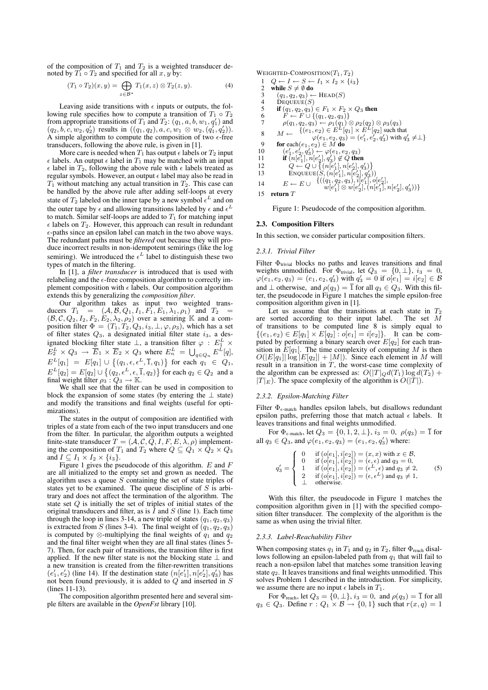of the composition of  $T_1$  and  $T_2$  is a weighted transducer denoted by  $T_1 \circ T_2$  and specified for all  $x, y$  by:

$$
(T_1 \circ T_2)(x, y) = \bigoplus_{z \in \mathcal{B}^*} T_1(x, z) \otimes T_2(z, y). \tag{4}
$$

Leaving aside transitions with  $\epsilon$  inputs or outputs, the following rule specifies how to compute a transition of  $T_1 \circ T_2$ from appropriate transitions of  $T_1$  and  $T_2$ :  $(q_1, a, b, w_1, q_1)$  and  $(q_2, b, c, w_2, q'_2)$  results in  $((q_1, q_2), a, c, w_1 \otimes w_2, (q'_1, q'_2)).$ A simple algorithm to compute the composition of two  $\epsilon$ -free transducers, following the above rule, is given in [1].

More care is needed when  $T_1$  has output  $\epsilon$  labels or  $T_2$  input  $\epsilon$  labels. An output  $\epsilon$  label in  $T_1$  may be matched with an input  $\epsilon$  label in  $T_2$ , following the above rule with  $\epsilon$  labels treated as regular symbols. However, an output  $\epsilon$  label may also be read in  $T_1$  without matching any actual transition in  $T_2$ . This case can be handled by the above rule after adding self-loops at every state of  $T_2$  labeled on the inner tape by a new symbol  $\epsilon^L$  and on the outer tape by  $\epsilon$  and allowing transitions labeled by  $\epsilon$  and  $\epsilon^L$ to match. Similar self-loops are added to  $T_1$  for matching input  $\epsilon$  labels on  $T_2$ . However, this approach can result in redundant  $\epsilon$ -paths since an epsilon label can match in the two above ways. The redundant paths must be *filtered* out because they will produce incorrect results in non-idempotent semirings (like the log semiring). We introduced the  $\epsilon^L$  label to distinguish these two types of match in the filtering.

In [1], a *filter transducer* is introduced that is used with relabeling and the  $\epsilon$ -free composition algorithm to correctly implement composition with  $\epsilon$  labels. Our composition algorithm extends this by generalizing the *composition filter*.

Our algorithm takes as input two weighted transducers  $T_1 = (\mathcal{A}, \mathcal{B}, Q_1, I_1, F_1, E_1, \lambda_1, \rho_1)$  and  $T_2 = (\mathcal{B}, \mathcal{C}, Q_2, I_2, F_2, E_2, \lambda_2, \rho_2)$  over a semiring K and a composition filter  $\Phi = (T_1, T_2, Q_3, i_3, \perp, \varphi, \rho_3)$ , which has a set of filter states  $Q_3$ , a designated initial filter state  $i_3$ , a designated blocking filter state  $\bot$ , a transition filter  $\varphi$  :  $E_1^L \times$  $E_2^L \times Q_3 \to \overline{E}_1 \times \overline{E}_2 \times Q_3$  where  $E_n^L = \bigcup_{q \in Q_n} E^L[q],$  $E^{L}[q_1] = E[q_1] \cup \{(q_1, \epsilon, \epsilon^L, \bar{1}, q_1)\}\;$  for each  $q_1 \in Q_1$ ,  $E^{L}[q_2] = E[q_2] \cup \{ (q_2, \epsilon^L, \epsilon, \bar{1}, q_2) \}$  for each  $q_2 \in Q_2$  and a final weight filter  $\rho_3 : Q_3 \to \mathbb{K}$ .

We shall see that the filter can be used in composition to block the expansion of some states (by entering the ⊥ state) and modify the transitions and final weights (useful for optimizations).

The states in the output of composition are identified with triples of a state from each of the two input transducers and one from the filter. In particular, the algorithm outputs a weighted finite-state transducer  $T = (\mathcal{A}, \mathcal{C}, Q, I, F, E, \lambda, \rho)$  implementing the composition of  $T_1$  and  $T_2$  where  $Q \subseteq Q_1 \times Q_2 \times Q_3$ and  $I \subseteq I_1 \times I_2 \times \{i_3\}.$ 

Figure 1 gives the pseudocode of this algorithm.  $E$  and  $F$ are all initialized to the empty set and grown as needed. The algorithm uses a queue  $S$  containing the set of state triples of states yet to be examined. The queue discipline of  $S$  is arbitrary and does not affect the termination of the algorithm. The state set  $Q$  is initially the set of triples of initial states of the original transducers and filter, as is  $I$  and  $S$  (line 1). Each time through the loop in lines 3-14, a new triple of states  $(q_1, q_2, q_3)$ is extracted from S (lines 3-4). The final weight of  $(q_1, q_2, q_3)$ is computed by ⊗-multiplying the final weights of  $q_1$  and  $q_2$ and the final filter weight when they are all final states (lines 5- 7). Then, for each pair of transitions, the transition filter is first applied. If the new filter state is not the blocking state  $\perp$  and a new transition is created from the filter-rewritten transitions  $(e'_1, e'_2)$  (line 14). If the destination state  $(n[e'_1], n[e'_2], q'_3)$  has not been found previously, it is added to  $Q$  and inserted in  $S$ (lines 11-13).

The composition algorithm presented here and several simple filters are available in the *OpenFst* library [10].

WEIGHTED-COMPOSITION $(T_1, T_2)$ 1  $Q \leftarrow I \leftarrow S \leftarrow I_1 \times I_2 \times \{i_3\}$ 2 while  $S \neq \emptyset$  do<br>3  $(q_1, q_2, q_3) \leftarrow$ 3  $(q_1, q_2, q_3) \leftarrow \text{HEAD}(S)$ <br>4 DEOUEUE(S) 4 DEQUEUE(S) 5 if  $(q_1, q_2, q_3) \in F_1 \times F_2 \times Q_3$  then 6  $F \leftarrow F \cup \{(q_1, q_2, q_3)\}\$ 7  $\rho(q_1, q_2, q_3) \leftarrow \rho_1(q_1) \otimes \rho_2(q_2) \otimes \rho_3(q_3)$  $8 \t M \leftarrow \begin{array}{c} \{(e_1, e_2) \in E^L[q_1] \times E^L[q_2] \text{ such that} \\ \left( e_1, e_2, e_2, e_3 \right) - \left( e_1' - e_2' \right) \text{ with } e_1' \end{array}$  $\varphi(e_1, e_2, q_3) = (e'_1, e'_2, q'_3)$  with  $q'_3 \neq \perp$ 9 for each $(e_1, e_2) \in M$  do  $\neq 9$  for each  $(e_1, e_2) \in M$  do 10  $(e'_1, e'_2, q'_3) \leftarrow \varphi(e_1, e_2, q_3)$ 11 if  $(n[e'_1], n[e'_2], q'_3) \notin Q$  then 12  $Q \leftarrow Q \cup \{(n[e'_1], n[e'_2], q'_3)\}$ 13 ENQUEUE $(S, (n[e'_1], n[e'_2], q'_3))$ 14  $E \leftarrow E \cup \{((q_1, q_2, q_3), \tilde{i}[e'_1], o[e'_2],$  $w[e'_1] \otimes w[e'_2], (n[e'_1], n[e'_2], q'_3))\}$ 15 return T

Figure 1: Pseudocode of the composition algorithm.

#### 2.3. Composition Filters

In this section, we consider particular composition filters.

#### *2.3.1. Trivial Filter*

Filter  $\Phi_{\text{trivial}}$  blocks no paths and leaves transitions and final weights unmodified. For  $\Phi$ <sub>trivial</sub>, let  $Q_3 = \{0, \perp\}$ ,  $i_3 = 0$ ,  $\varphi(e_1, e_2, q_3) = (e_1, e_2, q_3')$  with  $q_3' = 0$  if  $o[e_1] = i[e_2] \in \mathcal{B}$ and  $\perp$  otherwise, and  $\rho(q_3) = \overline{1}$  for all  $q_3 \in Q_3$ . With this filter, the pseudocode in Figure 1 matches the simple epsilon-free composition algorithm given in [1].

Let us assume that the transitions at each state in  $T_2$ are sorted according to their input label. The set M of transitions to be computed line 8 is simply equal to  $\{(e_1, e_2) \in E[q_1] \times E[q_2] : o[e_1] = i[e_2]\}.$  It can be computed by performing a binary search over  $E[q_2]$  for each transition in  $E[q_1]$ . The time complexity of computing M is then  $O(|E[q_1]| \log |E[q_2]| + |M|)$ . Since each element in M will result in a transition in  $T$ , the worst-case time complexity of the algorithm can be expressed as:  $O(|T|_Q d(T_1) \log d(T_2) +$  $|T|_E$ ). The space complexity of the algorithm is  $O(|T|)$ .

#### *2.3.2. Epsilon-Matching Filter*

Filter  $\Phi_{\epsilon-\text{match}}$  handles epsilon labels, but disallows redundant epsilon paths, preferring those that match actual  $\epsilon$  labels. It leaves transitions and final weights unmodified.

For  $\Phi_{\epsilon\text{-match}}$ , let  $Q_3 = \{0, 1, 2, \perp\}$ ,  $i_3 = 0$ ,  $\rho(q_3) = \overline{1}$  for all  $q_3 \in Q_3$ , and  $\varphi(e_1, e_2, q_3) = (e_1, e_2, q'_3)$  where:

$$
q'_3 = \begin{cases} 0 & \text{if } (o[e_1], i[e_2]) = (x, x) \text{ with } x \in \mathcal{B}, \\ 0 & \text{if } (o[e_1], i[e_2]) = (\epsilon, \epsilon) \text{ and } q_3 = 0, \\ 1 & \text{if } (o[e_1], i[e_2]) = (\epsilon^L, \epsilon) \text{ and } q_3 \neq 2, \\ 2 & \text{if } (o[e_1], i[e_2]) = (\epsilon, \epsilon^L) \text{ and } q_3 \neq 1, \\ \perp & \text{otherwise.} \end{cases}
$$
(5)

With this filter, the pseudocode in Figure 1 matches the composition algorithm given in [1] with the specified composition filter transducer. The complexity of the algorithm is the same as when using the trivial filter.

#### *2.3.3. Label-Reachability Filter*

When composing states  $q_1$  in  $T_1$  and  $q_2$  in  $T_2$ , filter  $\Phi$ <sub>reach</sub> disallows following an epsilon-labeled path from  $q_1$  that will fail to reach a non-epsilon label that matches some transition leaving state  $q_2$ . It leaves transitions and final weights unmodified. This solves Problem 1 described in the introduction. For simplicity, we assume there are no input  $\epsilon$  labels in  $T_1$ .

For  $\Phi$ <sub>reach</sub>, let  $Q_3 = \{0, \perp\}$ ,  $i_3 = 0$ , and  $\rho(q_3) = \overline{1}$  for all  $q_3 \in Q_3$ . Define  $r: Q_1 \times B \to \{0, 1\}$  such that  $r(x, q) = 1$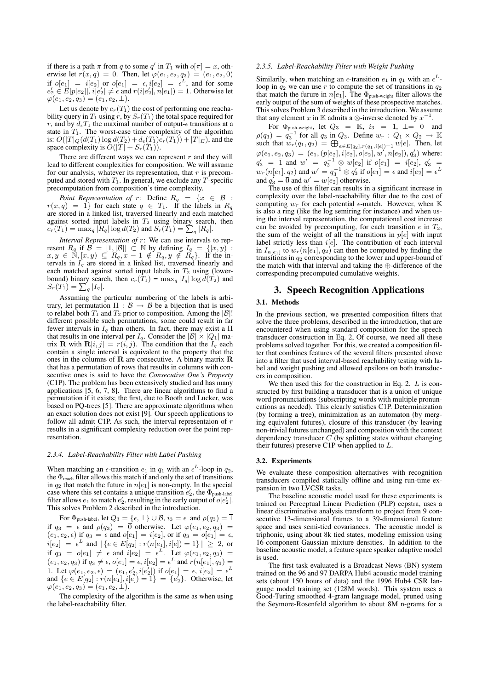if there is a path  $\pi$  from q to some  $q'$  in  $T_1$  with  $o[\pi] = x$ , otherwise let  $r(x, q) = 0$ . Then, let  $\varphi(e_1, e_2, q_3) = (e_1, e_2, 0)$ if  $o[e_1] = i[e_2]$  or  $o[e_1] = \epsilon, i[e_2] = \epsilon^L$ , and for some  $e'_2 \in E[p[e_2]], i[e'_2] \neq \epsilon \text{ and } r(i[e'_2], n[e_1]) = 1. \text{ Otherwise let }$  $\varphi(e_1, e_2, q_3) = (e_1, e_2, \perp).$ 

Let us denote by  $c_r(T_1)$  the cost of performing one reachability query in  $T_1$  using r, by  $S_r(T_1)$  the total space required for r, and by  $d_eT_1$  the maximal number of output- $\epsilon$  transitions at a state in  $T_1$ . The worst-case time complexity of the algorithm is:  $O(|T|_Q(d(T_1) \log d(T_2) + d_{\epsilon}(T_1)c_r(T_1)) + |T|_E)$ , and the space complexity is  $\tilde{O}(|T| + S_r(T_1)).$ 

There are different ways we can represent  $r$  and they will lead to different complexities for composition. We will assume for our analysis, whatever its representation, that  $r$  is precomputed and stored with  $T_1$ . In general, we exclude any  $T$ -specific precomputation from composition's time complexity.

*Point Representation of*  $r$ : Define  $R_q = \{x \in \mathcal{B}$  :  $r(x,q) = 1$  for each state  $q \in T_1$ . If the labels in  $R_q$ are stored in a linked list, traversed linearly and each matched against sorted input labels in  $T_2$  using binary search, then  $c_r(T_1) = \max_q |R_q| \log d(T_2)$  and  $S_r(T_1) = \sum_q |R_q|$ .

*Interval Representation of r*: We can use intervals to rep-<br>resent  $R_q$  if  $\mathcal{B} = [1, |\mathcal{B}|] \subset \mathbb{N}$  by defining  $I_q = \{ [x, y) :$  $x, y \in \mathbb{N}, [x, y) \subseteq R_q, x-1 \notin R_q, y \notin R_q$ . If the intervals in  $I_q$  are stored in a linked list, traversed linearly and each matched against sorted input labels in  $T_2$  using (lowerbound) binary search, then  $c_r(T_1) = \max_q |I_q| \log d(T_2)$  and  $S_r(T_1) = \sum_q |I_q|.$ 

Assuming the particular numbering of the labels is arbitrary, let permutation  $\Pi : \mathcal{B} \to \mathcal{B}$  be a bijection that is used to relabel both  $T_1$  and  $T_2$  prior to composition. Among the  $|\mathcal{B}|!$ different possible such permutations, some could result in far fewer intervals in  $I_q$  than others. In fact, there may exist a  $\Pi$ that results in one interval per  $I_q$ . Consider the  $|\mathcal{B}| \times |Q_1|$  matrix **R** with  $\mathbf{R}[i, j] = r(i, j)$ . The condition that the  $I_q$  each contain a single interval is equivalent to the property that the ones in the columns of  $\bf{R}$  are consecutive. A binary matrix  $\bf{R}$ that has a permutation of rows that results in columns with consecutive ones is said to have the *Consecutive One's Property* (C1P). The problem has been extensively studied and has many applications  $[5, 6, 7, 8]$ . There are linear algorithms to find a permutation if it exists; the first, due to Booth and Lucker, was based on PQ-trees [5]. There are approximate algorithms when an exact solution does not exist [9]. Our speech applications to follow all admit C1P. As such, the interval representaion of  $r$ results in a significant complexity reduction over the point representation.

#### *2.3.4. Label-Reachability Filter with Label Pushing*

When matching an  $\epsilon$ -transition  $e_1$  in  $q_1$  with an  $\epsilon^L$ -loop in  $q_2$ , the  $\Phi$ <sub>reach</sub> filter allows this match if and only the set of transitions in  $q_2$  that match the future in  $n[e_1]$  is non-empty. In the special case where this set contains a unique transition  $e'_2$ , the  $\Phi_{\text{push-label}}$ filter allows  $e_1$  to match  $e'_2$ , resulting in the early output of  $o[e'_2]$ . This solves Problem 2 described in the introduction.

For  $\Phi_{\text{push-label}},$  let  $Q_3 = \{\epsilon, \bot\} \cup \mathcal{B},$   $i_3 = \epsilon \ \text{ and } \rho(q_3) = \overline{1}$ if  $q_3 = \epsilon$  and  $\rho(q_3) = \overline{0}$  otherwise. Let  $\varphi(e_1, e_2, q_3) =$  $(e_1, e_2, \epsilon)$  if  $q_3 = \epsilon$  and  $o[e_1] = i[e_2]$ , or if  $q_3 = o[e_1] = \epsilon$ ,  $i[e_2] = \epsilon^L$  and  $|\{e \in E[q_2] : r(n[e_1], i[e]) = 1\}| \geq 2$ , or if  $q_3 = o[e_1] \neq \epsilon$  and  $i[e_2] = \epsilon^L$ . Let  $\varphi(e_1, e_2, q_3) =$  $(e_1, e_2, q_3)$  if  $q_3 \neq \epsilon$ ,  $o[e_1] = \epsilon$ ,  $i[e_2] = \epsilon^L$  and  $r(n[e_1], q_3) =$ 1. Let  $\varphi(e_1, e_2, \epsilon) = (e_1, e'_2, i[e'_2])$  if  $o[e_1] = \epsilon, i[e_2] = \epsilon^L$ and  $\{e \in E[q_2] : r(n[e_1], i[e]) = 1\} = \{e_2'\}.$  Otherwise, let  $\varphi(e_1, e_2, q_3) = (e_1, e_2, \perp).$ 

The complexity of the algorithm is the same as when using the label-reachability filter.

### *2.3.5. Label-Reachability Filter with Weight Pushing*

Similarily, when matching an  $\epsilon$ -transition  $e_1$  in  $q_1$  with an  $\epsilon^L$ loop in  $q_2$  we can use r to compute the set of transitions in  $q_2$ that match the furure in  $n[e_1]$ . The  $\Phi_{\text{push-weight}}$  filter allows the early output of the sum of weights of these prospective matches. This solves Problem 3 described in the introduction. We assume that any element x in K admits a  $\otimes$ -inverse denoted by  $x^{-1}$ .

For  $\Phi$ <sub>push-weight</sub>, let  $Q_3 = \mathbb{K}$ ,  $i_3 = \overline{1}$ ,  $\bot = \overline{0}$  and  $\rho(q_3) = q_3^{-1}$  for all  $q_3$  in  $Q_3$ . Define  $w_r : Q_1 \times Q_2 \rightarrow \mathbb{K}$ such that  $w_r(q_1, q_2) = \bigoplus_{e \in E[q_2], r(q_1, i[e]) = 1} w[e]$ . Then, let  $\varphi(e_1, e_2, q_3) = (e_1, (p[e_2], i[e_2], o[e_2], w', n[e_2]), q'_3)$  where:  $q'_3$  = 1 and  $w' = q_3^{-1} \otimes w[e_2]$  if  $o[e_1] = i[e_2], q'_3$  =  $w_r(n[e_1], q_2)$  and  $w' = q_3^{-1} \otimes q'_3$  if  $o[e_1] = \epsilon$  and  $i[e_2] = \epsilon^L$ and  $q'_3 = \overline{0}$  and  $w' = w[e_2]$  otherwise.

The use of this filter can results in a significant increase in complexity over the label-reachability filter due to the cost of computing  $w_r$  for each potential  $\epsilon$ -match. However, when K is also a ring (like the log semiring for instance) and when using the interval representation, the computational cost increase can be avoided by precomputing, for each transition  $e$  in  $T_2$ , the sum of the weight of all the transitions in  $p[e]$  with input label strictly less than  $i[e]$ . The contribution of each interval in  $I_{n[e_1]}$  to  $w_r(n[e_1], q_2)$  can then be computed by finding the transitions in  $q_2$  corresponding to the lower and upper-bound of the match with that interval and taking the ⊕-difference of the corresponding precomputed cumulative weights.

# 3. Speech Recognition Applications

### 3.1. Methods

In the previous section, we presented composition filters that solve the three problems, described in the introduction, that are encountered when using standard composition for the speech transducer construction in Eq. 2, Of course, we need all these problems solved together. For this, we created a composition filter that combines features of the several filters presented above into a filter that used interval-based reachability testing with label and weight pushing and allowed epsilons on both transducers in composition.

We then used this for the construction in Eq. 2.  $L$  is constructed by first building a transducer that is a union of unique word pronunciations (subscripting words with multiple pronuncations as needed). This clearly satisfies C1P. Determinization (by forming a tree), minimization as an automaton (by merging equivalent futures), closure of this transducer (by leaving non-trivial futures unchanged) and composition with the context dependency transducer  $C$  (by splitting states without changing their futures) preserve C1P when applied to L.

#### 3.2. Experiments

We evaluate these composition alternatives with recognition transducers compiled statically offline and using run-time expansion in two LVCSR tasks.

The baseline acoustic model used for these experiments is trained on Perceptual Linear Prediction (PLP) cepstra, uses a linear discriminative analysis transform to project from 9 consecutive 13-dimensional frames to a 39-dimensional feature space and uses semi-tied covarianecs. The acoustic model is triphonic, using about 8k tied states, modeling emission using 16-component Gaussian mixture densities. In addition to the baseline acoustic model, a feature space speaker adaptive model is used.

The first task evaluated is a Broadcast News (BN) system trained on the 96 and 97 DARPA Hub4 acoustic model training sets (about 150 hours of data) and the 1996 Hub4 CSR language model training set (128M words). This system uses a Good-Turing smoothed 4-gram language model, pruned using the Seymore-Rosenfeld algorithm to about 8M n-grams for a